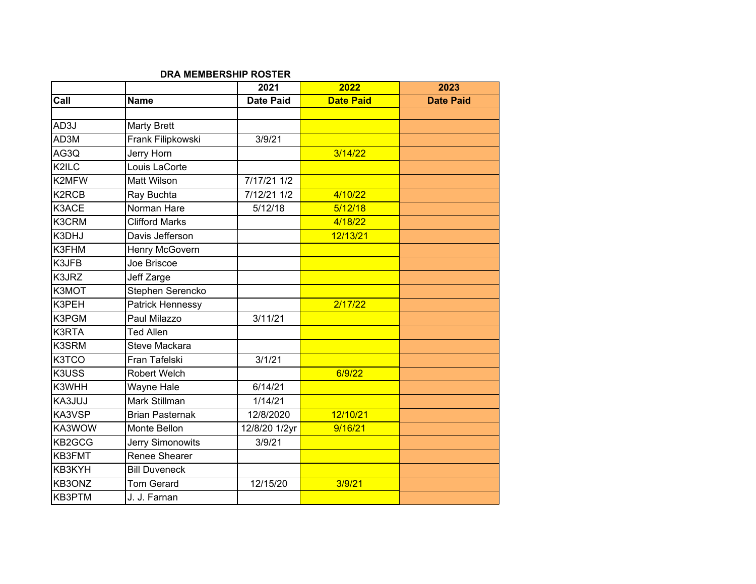## **DRA MEMBERSHIP ROSTER**

|        |                        | 2021             | 2022             | 2023             |
|--------|------------------------|------------------|------------------|------------------|
| Call   | <b>Name</b>            | <b>Date Paid</b> | <b>Date Paid</b> | <b>Date Paid</b> |
|        |                        |                  |                  |                  |
| AD3J   | <b>Marty Brett</b>     |                  |                  |                  |
| AD3M   | Frank Filipkowski      | 3/9/21           |                  |                  |
| AG3Q   | Jerry Horn             |                  | 3/14/22          |                  |
| K2ILC  | Louis LaCorte          |                  |                  |                  |
| K2MFW  | <b>Matt Wilson</b>     | $7/17/21$ 1/2    |                  |                  |
| K2RCB  | Ray Buchta             | 7/12/21 1/2      | 4/10/22          |                  |
| K3ACE  | Norman Hare            | 5/12/18          | 5/12/18          |                  |
| K3CRM  | <b>Clifford Marks</b>  |                  | 4/18/22          |                  |
| K3DHJ  | Davis Jefferson        |                  | 12/13/21         |                  |
| K3FHM  | Henry McGovern         |                  |                  |                  |
| K3JFB  | Joe Briscoe            |                  |                  |                  |
| K3JRZ  | Jeff Zarge             |                  |                  |                  |
| K3MOT  | Stephen Serencko       |                  |                  |                  |
| K3PEH  | Patrick Hennessy       |                  | 2/17/22          |                  |
| K3PGM  | Paul Milazzo           | 3/11/21          |                  |                  |
| K3RTA  | <b>Ted Allen</b>       |                  |                  |                  |
| K3SRM  | <b>Steve Mackara</b>   |                  |                  |                  |
| K3TCO  | Fran Tafelski          | 3/1/21           |                  |                  |
| K3USS  | <b>Robert Welch</b>    |                  | 6/9/22           |                  |
| K3WHH  | Wayne Hale             | 6/14/21          |                  |                  |
| KA3JUJ | Mark Stillman          | 1/14/21          |                  |                  |
| KA3VSP | <b>Brian Pasternak</b> | 12/8/2020        | 12/10/21         |                  |
| KA3WOW | Monte Bellon           | 12/8/20 1/2yr    | 9/16/21          |                  |
| KB2GCG | Jerry Simonowits       | 3/9/21           |                  |                  |
| KB3FMT | Renee Shearer          |                  |                  |                  |
| KB3KYH | <b>Bill Duveneck</b>   |                  |                  |                  |
| KB3ONZ | <b>Tom Gerard</b>      | 12/15/20         | 3/9/21           |                  |
| KB3PTM | J. J. Farnan           |                  |                  |                  |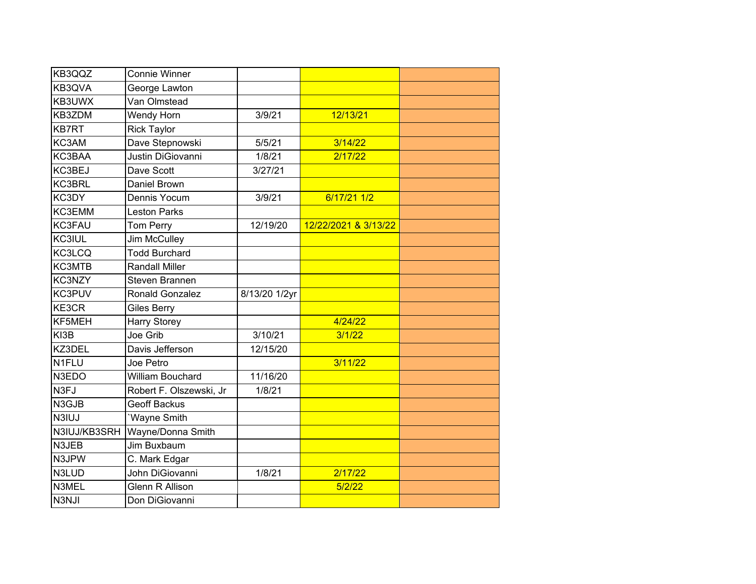| KB3QQZ       | <b>Connie Winner</b>    |               |                      |  |
|--------------|-------------------------|---------------|----------------------|--|
| KB3QVA       | George Lawton           |               |                      |  |
| KB3UWX       | Van Olmstead            |               |                      |  |
| KB3ZDM       | Wendy Horn              | 3/9/21        | 12/13/21             |  |
| <b>KB7RT</b> | <b>Rick Taylor</b>      |               |                      |  |
| KC3AM        | Dave Stepnowski         | 5/5/21        | 3/14/22              |  |
| KC3BAA       | Justin DiGiovanni       | 1/8/21        | 2/17/22              |  |
| KC3BEJ       | Dave Scott              | 3/27/21       |                      |  |
| KC3BRL       | Daniel Brown            |               |                      |  |
| KC3DY        | Dennis Yocum            | 3/9/21        | 6/17/21 1/2          |  |
| KC3EMM       | <b>Leston Parks</b>     |               |                      |  |
| KC3FAU       | <b>Tom Perry</b>        | 12/19/20      | 12/22/2021 & 3/13/22 |  |
| KC3IUL       | Jim McCulley            |               |                      |  |
| KC3LCQ       | <b>Todd Burchard</b>    |               |                      |  |
| KC3MTB       | <b>Randall Miller</b>   |               |                      |  |
| KC3NZY       | Steven Brannen          |               |                      |  |
| KC3PUV       | Ronald Gonzalez         | 8/13/20 1/2yr |                      |  |
| KE3CR        | <b>Giles Berry</b>      |               |                      |  |
| KF5MEH       | <b>Harry Storey</b>     |               | 4/24/22              |  |
| KI3B         | Joe Grib                | 3/10/21       | 3/1/22               |  |
| KZ3DEL       | Davis Jefferson         | 12/15/20      |                      |  |
| N1FLU        | Joe Petro               |               | 3/11/22              |  |
| N3EDO        | William Bouchard        | 11/16/20      |                      |  |
| N3FJ         | Robert F. Olszewski, Jr | 1/8/21        |                      |  |
| N3GJB        | <b>Geoff Backus</b>     |               |                      |  |
| N3IUJ        | 'Wayne Smith            |               |                      |  |
| N3IUJ/KB3SRH | Wayne/Donna Smith       |               |                      |  |
| N3JEB        | Jim Buxbaum             |               |                      |  |
| N3JPW        | C. Mark Edgar           |               |                      |  |
| N3LUD        | John DiGiovanni         | 1/8/21        | 2/17/22              |  |
| N3MEL        | <b>Glenn R Allison</b>  |               | 5/2/22               |  |
| N3NJI        | Don DiGiovanni          |               |                      |  |